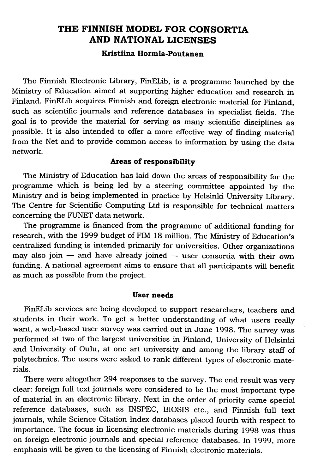# THE FINNISH MODEL FOR CONSORTIA AND NATIONAL LICENSES

## Kristiina Hormia-Poutanen

The Finnish Electronic Library, FinELib, is a programme launched by the Ministry of Education aimed at supporting higher education and research in Finland. FinELib acquires Finnish and foreign electronic material for Finland, such as scientific journals and reference databases in specialist fields. The goal is to provide the material for serving as many scientific disciplines as possible. It is also intended to offer a more effective way of finding material from the Net and to provide common access to information by using the data network.

## Areas of responsibility

The Ministry of Education has laid down the areas of responsibility for the programme which is being led by a steering committee appointed by the Ministry and is being implemented in practice by Helsinki University Library. The Centre for Scientific Computing Ltd is responsible for technical matters concerning the FUNET data network.

The programme is financed from the programme of additional funding for research, with the 1999 budget of FIM 18 million. The Ministry of Education's centralized funding is intended primarily for universities. Other organizations may also join  $-$  and have already joined  $-$  user consortia with their own funding. A national agreement aims to ensure that all participants will benefit as much as possible from the project.

#### User needs

FinELib services are being developed to support researchers, teachers and students in their work. To get a better understanding of what users really want, a web-based user survey was carried out in June 1998. The survey was performed at two of the largest universities in Finland, University of Helsinki and University of Oulu, at one art university and among the library staff of polytechnics. The users were asked to rank different types of electronic materials.

There were altogether 294 responses to the survey. The end result was very clear: foreign full text journals were considered to be the most important type of material in an electronic library. Next in the order of priority came special reference databases, such as INSPEC, BIOSIS etc., and Finnish full text journals, while Science Citation Index databases placed fourth with respect to importance. The focus in licensing electronic materials during 1998 was thus on foreign electronic journals and special reference databases. In 1999, more emphasis will be given to the licensing of Finnish electronic materials.